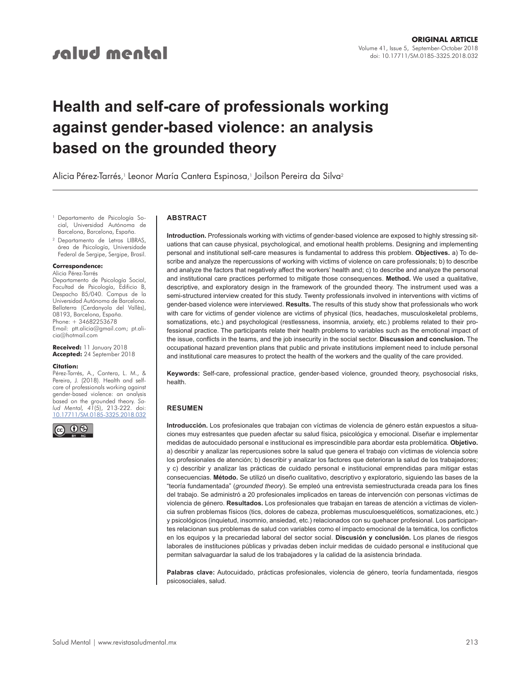# **Health and self-care of professionals working against gender-based violence: an analysis based on the grounded theory**

Alicia Pérez-Tarrés,<sup>,</sup> Leonor María Cantera Espinosa,<sup>,</sup> Joilson Pereira da Silva<sup>2</sup>

Departamento de Psicología Social, Universidad Autónoma de Barcelona, Barcelona, España.

<sup>2</sup> Departamento de Letras LIBRAS, área de Psicología, Universidade Federal de Sergipe, Sergipe, Brasil.

**Correspondence:** Alicia Pérez-Tarrés

Departamento de Psicología Social, Facultad de Psicología, Edificio B, Despacho B5/040. Campus de la Universidad Autónoma de Barcelona. Bellaterra (Cerdanyola del Vallès), 08193, Barcelona, España.  $Phone: + 34682253678$ Email: ptt.alicia@gmail.com; pt.alicia@hotmail.com

**Received:** 11 January 2018 **Accepted:** 24 September 2018

#### **Citation:**

Pérez-Tarrés, A., Cantera, L. M., & Pereira, J. (2018). Health and selfcare of professionals working against gender-based violence: an analysis based on the grounded theory. *Salud Mental, 41*(5), 213-222. doi: [10.17711/SM.0185-3325.2018.032](http://doi.org/10.17711/SM.0185-3325.2018.032)



#### **ABSTRACT**

**Introduction.** Professionals working with victims of gender-based violence are exposed to highly stressing situations that can cause physical, psychological, and emotional health problems. Designing and implementing personal and institutional self-care measures is fundamental to address this problem. **Objectives.** a) To describe and analyze the repercussions of working with victims of violence on care professionals; b) to describe and analyze the factors that negatively affect the workers' health and; c) to describe and analyze the personal and institutional care practices performed to mitigate those consequences. **Method.** We used a qualitative, descriptive, and exploratory design in the framework of the grounded theory. The instrument used was a semi-structured interview created for this study. Twenty professionals involved in interventions with victims of gender-based violence were interviewed. **Results.** The results of this study show that professionals who work with care for victims of gender violence are victims of physical (tics, headaches, musculoskeletal problems, somatizations, etc.) and psychological (restlessness, insomnia, anxiety, etc.) problems related to their professional practice. The participants relate their health problems to variables such as the emotional impact of the issue, conflicts in the teams, and the job insecurity in the social sector. **Discussion and conclusion.** The occupational hazard prevention plans that public and private institutions implement need to include personal and institutional care measures to protect the health of the workers and the quality of the care provided.

**Keywords:** Self-care, professional practice, gender-based violence, grounded theory, psychosocial risks, health.

#### **RESUMEN**

**Introducción.** Los profesionales que trabajan con víctimas de violencia de género están expuestos a situaciones muy estresantes que pueden afectar su salud física, psicológica y emocional. Diseñar e implementar medidas de autocuidado personal e institucional es imprescindible para abordar esta problemática. **Objetivo.** a) describir y analizar las repercusiones sobre la salud que genera el trabajo con víctimas de violencia sobre los profesionales de atención; b) describir y analizar los factores que deterioran la salud de los trabajadores; y c) describir y analizar las prácticas de cuidado personal e institucional emprendidas para mitigar estas consecuencias. **Método.** Se utilizó un diseño cualitativo, descriptivo y exploratorio, siguiendo las bases de la "teoría fundamentada" (*grounded theory*). Se empleó una entrevista semiestructurada creada para los fines del trabajo. Se administró a 20 profesionales implicados en tareas de intervención con personas víctimas de violencia de género. **Resultados.** Los profesionales que trabajan en tareas de atención a víctimas de violencia sufren problemas físicos (tics, dolores de cabeza, problemas musculoesqueléticos, somatizaciones, etc.) y psicológicos (inquietud, insomnio, ansiedad, etc.) relacionados con su quehacer profesional. Los participantes relacionan sus problemas de salud con variables como el impacto emocional de la temática, los conflictos en los equipos y la precariedad laboral del sector social. **Discusión y conclusión.** Los planes de riesgos laborales de instituciones públicas y privadas deben incluir medidas de cuidado personal e institucional que permitan salvaguardar la salud de los trabajadores y la calidad de la asistencia brindada.

**Palabras clave:** Autocuidado, prácticas profesionales, violencia de género, teoría fundamentada, riesgos psicosociales, salud.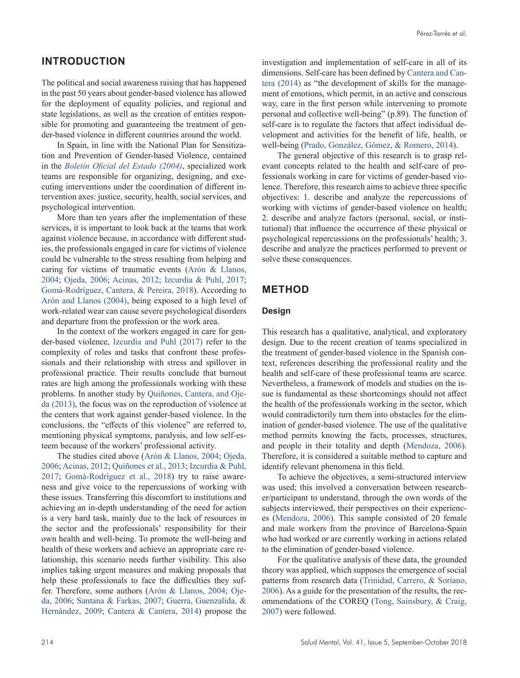# **INTRODUCTION**

The political and social awareness raising that has happened in the past 50 years about gender-based violence has allowed for the deployment of equality policies, and regional and state legislations, as well as the creation of entities responsible for promoting and guaranteeing the treatment of gender-based violence in different countries around the world.

In Spain, in line with the National Plan for Sensitization and Prevention of Gender-based Violence, contained in the *[Boletín Oficial del Estado \(2004\)](#page-9-0)*, specialized work teams are responsible for organizing, designing, and executing interventions under the coordination of different intervention axes: justice, security, health, social services, and psychological intervention.

More than ten years after the implementation of these services, it is important to look back at the teams that work against violence because, in accordance with different studies, the professionals engaged in care for victims of violence could be vulnerable to the stress resulting from helping and caring for victims of traumatic events [\(Arón & Llanos,](#page-9-1) [2004](#page-9-1); [Ojeda, 2006](#page-9-2); [Acinas, 2012;](#page-9-3) [Izcurdia & Puhl, 2017](#page-9-4); [Gomà-Rodríguez, Cantera, & Pereira, 2018](#page-9-5)). According to [Arón and Llanos \(2004\),](#page-9-1) being exposed to a high level of work-related wear can cause severe psychological disorders and departure from the profession or the work area.

In the context of the workers engaged in care for gender-based violence, [Izcurdia and Puhl \(2017\)](#page-9-4) refer to the complexity of roles and tasks that confront these professionals and their relationship with stress and spillover in professional practice. Their results conclude that burnout rates are high among the professionals working with these problems. In another study by [Quiñones, Cantera, and Oje](#page-9-6)[da \(2013\),](#page-9-6) the focus was on the reproduction of violence at the centers that work against gender-based violence. In the conclusions, the "effects of this violence" are referred to, mentioning physical symptoms, paralysis, and low self-esteem because of the workers' professional activity.

The studies cited above ([Arón & Llanos, 2004](#page-9-1); [Ojeda,](#page-9-2) [2006](#page-9-2); [Acinas, 2012;](#page-9-3) [Quiñones et al., 2013](#page-9-6); [Izcurdia & Puhl,](#page-9-4) [2017](#page-9-4); [Gomà-Rodríguez et al., 2018](#page-9-5)) try to raise awareness and give voice to the repercussions of working with these issues. Transferring this discomfort to institutions and achieving an in-depth understanding of the need for action is a very hard task, mainly due to the lack of resources in the sector and the professionals' responsibility for their own health and well-being. To promote the well-being and health of these workers and achieve an appropriate care relationship, this scenario needs further visibility. This also implies taking urgent measures and making proposals that help these professionals to face the difficulties they suffer. Therefore, some authors ([Arón & Llanos, 2004;](#page-9-1) [Oje](#page-9-2)[da, 2006](#page-9-2); [Santana & Farkas, 2007;](#page-9-7) [Guerra, Guenzalida, &](#page-9-8) [Hernández, 2009;](#page-9-8) [Cantera & Cantera, 2014\)](#page-9-9) propose the investigation and implementation of self-care in all of its dimensions. Self-care has been defined by [Cantera and Can](#page-9-9)[tera \(2014\)](#page-9-9) as "the development of skills for the management of emotions, which permit, in an active and conscious way, care in the first person while intervening to promote personal and collective well-being" (p.89). The function of self-care is to regulate the factors that affect individual development and activities for the benefit of life, health, or well-being ([Prado, González, Gómez, & Romero, 2014](#page-9-10)).

The general objective of this research is to grasp relevant concepts related to the health and self-care of professionals working in care for victims of gender-based violence. Therefore, this research aims to achieve three specific objectives: 1. describe and analyze the repercussions of working with victims of gender-based violence on health; 2. describe and analyze factors (personal, social, or institutional) that influence the occurrence of these physical or psychological repercussions on the professionals' health; 3. describe and analyze the practices performed to prevent or solve these consequences.

# **METHOD**

#### **Design**

This research has a qualitative, analytical, and exploratory design. Due to the recent creation of teams specialized in the treatment of gender-based violence in the Spanish context, references describing the professional reality and the health and self-care of these professional teams are scarce. Nevertheless, a framework of models and studies on the issue is fundamental as these shortcomings should not affect the health of the professionals working in the sector, which would contradictorily turn them into obstacles for the elimination of gender-based violence. The use of the qualitative method permits knowing the facts, processes, structures, and people in their totality and depth ([Mendoza, 2006](#page-9-11)). Therefore, it is considered a suitable method to capture and identify relevant phenomena in this field.

To achieve the objectives, a semi-structured interview was used; this involved a conversation between researcher/participant to understand, through the own words of the subjects interviewed, their perspectives on their experiences ([Mendoza, 2006](#page-9-11)). This sample consisted of 20 female and male workers from the province of Barcelona-Spain who had worked or are currently working in actions related to the elimination of gender-based violence.

For the qualitative analysis of these data, the grounded theory was applied, which supposes the emergence of social patterns from research data ([Trinidad, Carrero, & Soriano,](#page-9-12) [2006](#page-9-12)). As a guide for the presentation of the results, the recommendations of the COREQ ([Tong, Sainsbury, & Craig,](#page-9-13) [2007](#page-9-13)) were followed.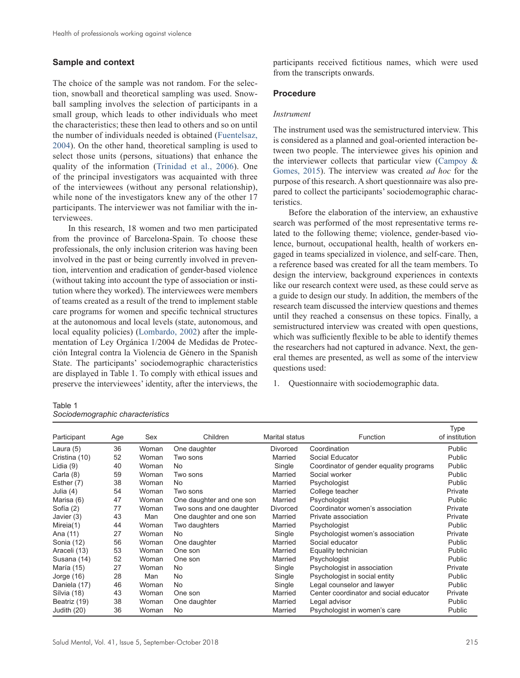#### **Sample and context**

The choice of the sample was not random. For the selection, snowball and theoretical sampling was used. Snowball sampling involves the selection of participants in a small group, which leads to other individuals who meet the characteristics; these then lead to others and so on until the number of individuals needed is obtained ([Fuentelsaz,](#page-9-14)  [2004](#page-9-14)). On the other hand, theoretical sampling is used to select those units (persons, situations) that enhance the quality of the information ([Trinidad et al., 2006](#page-9-12)). One of the principal investigators was acquainted with three of the interviewees (without any personal relationship), while none of the investigators knew any of the other 17 participants. The interviewer was not familiar with the interviewees.

In this research, 18 women and two men participated from the province of Barcelona-Spain. To choose these professionals, the only inclusion criterion was having been involved in the past or being currently involved in prevention, intervention and eradication of gender-based violence (without taking into account the type of association or institution where they worked). The interviewees were members of teams created as a result of the trend to implement stable care programs for women and specific technical structures at the autonomous and local levels (state, autonomous, and local equality policies) [\(Lombardo, 2002\)](#page-9-15) after the implementation of Ley Orgánica 1/2004 de Medidas de Protección Integral contra la Violencia de Género in the Spanish State. The participants' sociodemographic characteristics are displayed in Table 1. To comply with ethical issues and preserve the interviewees' identity, after the interviews, the participants received fictitious names, which were used from the transcripts onwards.

#### **Procedure**

#### *Instrument*

The instrument used was the semistructured interview. This is considered as a planned and goal-oriented interaction between two people. The interviewee gives his opinion and the interviewer collects that particular view ([Campoy &](#page-9-16)  [Gomes, 2015](#page-9-16)). The interview was created *ad hoc* for the purpose of this research. A short questionnaire was also prepared to collect the participants' sociodemographic characteristics.

Before the elaboration of the interview, an exhaustive search was performed of the most representative terms related to the following theme; violence, gender-based violence, burnout, occupational health, health of workers engaged in teams specialized in violence, and self-care. Then, a reference based was created for all the team members. To design the interview, background experiences in contexts like our research context were used, as these could serve as a guide to design our study. In addition, the members of the research team discussed the interview questions and themes until they reached a consensus on these topics. Finally, a semistructured interview was created with open questions, which was sufficiently flexible to be able to identify themes the researchers had not captured in advance. Next, the general themes are presented, as well as some of the interview questions used:

1. Questionnaire with sociodemographic data.

| Table 1                          |  |
|----------------------------------|--|
| Sociodemographic characteristics |  |

| Participant   | Age | Sex   | Children                  | Marital status  | <b>Function</b>                         | Type<br>of institution |
|---------------|-----|-------|---------------------------|-----------------|-----------------------------------------|------------------------|
| Laura $(5)$   | 36  | Woman | One daughter              | <b>Divorced</b> | Coordination                            | Public                 |
| Cristina (10) | 52  | Woman | Two sons                  | Married         | Social Educator                         | Public                 |
| Lidia (9)     | 40  | Woman | No                        | Single          | Coordinator of gender equality programs | Public                 |
| Carla (8)     | 59  | Woman | Two sons                  | Married         | Social worker                           | Public                 |
| Esther (7)    | 38  | Woman | No                        | Married         | Psychologist                            | Public                 |
| Julia (4)     | 54  | Woman | Two sons                  | Married         | College teacher                         | Private                |
| Marisa (6)    | 47  | Woman | One daughter and one son  | Married         | Psychologist                            | Public                 |
| Sofía (2)     | 77  | Woman | Two sons and one daughter | <b>Divorced</b> | Coordinator women's association         | Private                |
| Javier (3)    | 43  | Man   | One daughter and one son  | Married         | Private association                     | Private                |
| Mireia(1)     | 44  | Woman | Two daughters             | Married         | Psychologist                            | Public                 |
| Ana (11)      | 27  | Woman | No                        | Single          | Psychologist women's association        | Private                |
| Sonia (12)    | 56  | Woman | One daughter              | Married         | Social educator                         | Public                 |
| Araceli (13)  | 53  | Woman | One son                   | Married         | Equality technician                     | Public                 |
| Susana (14)   | 52  | Woman | One son                   | Married         | Psychologist                            | Public                 |
| María (15)    | 27  | Woman | No.                       | Single          | Psychologist in association             | Private                |
| Jorge $(16)$  | 28  | Man   | No.                       | Single          | Psychologist in social entity           | Public                 |
| Daniela (17)  | 46  | Woman | No.                       | Single          | Legal counselor and lawyer              | Public                 |
| Sílvia (18)   | 43  | Woman | One son                   | Married         | Center coordinator and social educator  | Private                |
| Beatriz (19)  | 38  | Woman | One daughter              | Married         | Legal advisor                           | Public                 |
| Judith (20)   | 36  | Woman | No.                       | Married         | Psychologist in women's care            | Public                 |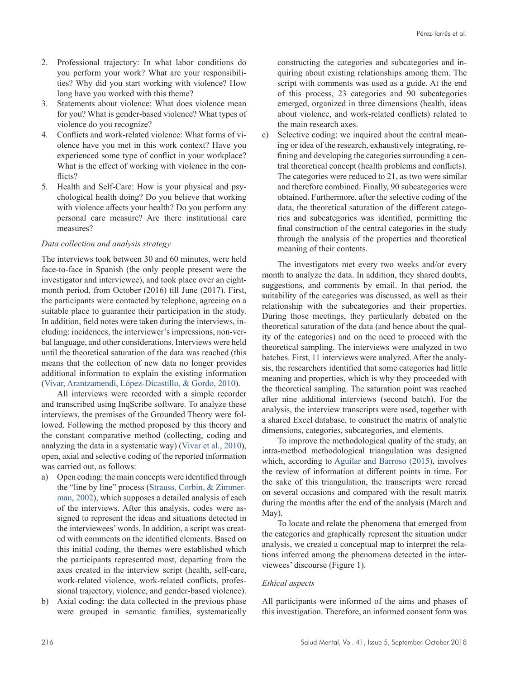- 2. Professional trajectory: In what labor conditions do you perform your work? What are your responsibilities? Why did you start working with violence? How long have you worked with this theme?
- 3. Statements about violence: What does violence mean for you? What is gender-based violence? What types of violence do you recognize?
- 4. Conflicts and work-related violence: What forms of violence have you met in this work context? Have you experienced some type of conflict in your workplace? What is the effect of working with violence in the conflicts?
- 5. Health and Self-Care: How is your physical and psychological health doing? Do you believe that working with violence affects your health? Do you perform any personal care measure? Are there institutional care measures?

#### *Data collection and analysis strategy*

The interviews took between 30 and 60 minutes, were held face-to-face in Spanish (the only people present were the investigator and interviewee), and took place over an eightmonth period, from October (2016) till June (2017). First, the participants were contacted by telephone, agreeing on a suitable place to guarantee their participation in the study. In addition, field notes were taken during the interviews, including: incidences, the interviewer's impressions, non-verbal language, and other considerations. Interviews were held until the theoretical saturation of the data was reached (this means that the collection of new data no longer provides additional information to explain the existing information ([Vivar, Arantzamendi, López-Dicastillo, & Gordo, 2010](#page-9-17)).

All interviews were recorded with a simple recorder and transcribed using InqScribe software. To analyze these interviews, the premises of the Grounded Theory were followed. Following the method proposed by this theory and the constant comparative method (collecting, coding and analyzing the data in a systematic way) ([Vivar et al., 2010](#page-9-17)), open, axial and selective coding of the reported information was carried out, as follows:

- a) Open coding: the main concepts were identified through the "line by line" process ([Strauss, Corbin, & Zimmer](#page-9-18)[man, 2002\)](#page-9-18), which supposes a detailed analysis of each of the interviews. After this analysis, codes were assigned to represent the ideas and situations detected in the interviewees' words. In addition, a script was created with comments on the identified elements. Based on this initial coding, the themes were established which the participants represented most, departing from the axes created in the interview script (health, self-care, work-related violence, work-related conflicts, professional trajectory, violence, and gender-based violence).
- b) Axial coding: the data collected in the previous phase were grouped in semantic families, systematically

constructing the categories and subcategories and inquiring about existing relationships among them. The script with comments was used as a guide. At the end of this process, 23 categories and 90 subcategories emerged, organized in three dimensions (health, ideas about violence, and work-related conflicts) related to the main research axes.

c) Selective coding: we inquired about the central meaning or idea of the research, exhaustively integrating, refining and developing the categories surrounding a central theoretical concept (health problems and conflicts). The categories were reduced to 21, as two were similar and therefore combined. Finally, 90 subcategories were obtained. Furthermore, after the selective coding of the data, the theoretical saturation of the different categories and subcategories was identified, permitting the final construction of the central categories in the study through the analysis of the properties and theoretical meaning of their contents.

The investigators met every two weeks and/or every month to analyze the data. In addition, they shared doubts, suggestions, and comments by email. In that period, the suitability of the categories was discussed, as well as their relationship with the subcategories and their properties. During those meetings, they particularly debated on the theoretical saturation of the data (and hence about the quality of the categories) and on the need to proceed with the theoretical sampling. The interviews were analyzed in two batches. First, 11 interviews were analyzed. After the analysis, the researchers identified that some categories had little meaning and properties, which is why they proceeded with the theoretical sampling. The saturation point was reached after nine additional interviews (second batch). For the analysis, the interview transcripts were used, together with a shared Excel database, to construct the matrix of analytic dimensions, categories, subcategories, and elements.

To improve the methodological quality of the study, an intra-method methodological triangulation was designed which, according to [Aguilar and Barroso \(2015\)](#page-9-19), involves the review of information at different points in time. For the sake of this triangulation, the transcripts were reread on several occasions and compared with the result matrix during the months after the end of the analysis (March and May).

To locate and relate the phenomena that emerged from the categories and graphically represent the situation under analysis, we created a conceptual map to interpret the relations inferred among the phenomena detected in the interviewees' discourse (Figure 1).

#### *Ethical aspects*

All participants were informed of the aims and phases of this investigation. Therefore, an informed consent form was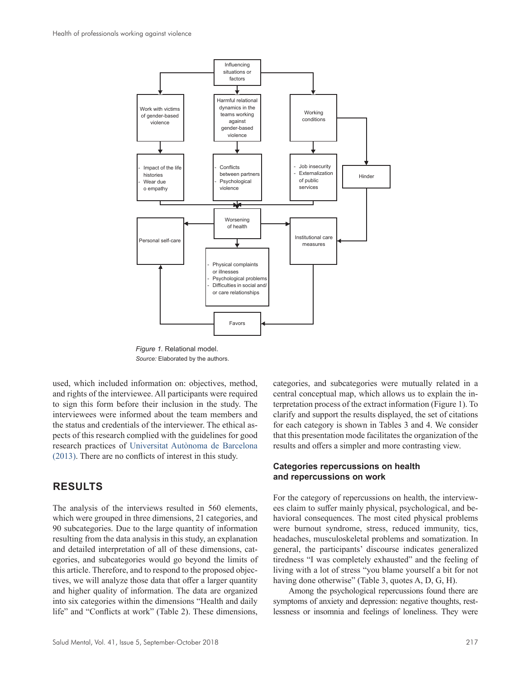

*Figure 1.* Relational model. *Source:* Elaborated by the authors.

used, which included information on: objectives, method, and rights of the interviewee. All participants were required to sign this form before their inclusion in the study. The interviewees were informed about the team members and the status and credentials of the interviewer. The ethical aspects of this research complied with the guidelines for good research practices of [Universitat Autònoma de Barcelona](#page-9-20)  [\(2013\)](#page-9-20). There are no conflicts of interest in this study.

## **RESULTS**

The analysis of the interviews resulted in 560 elements, which were grouped in three dimensions, 21 categories, and 90 subcategories. Due to the large quantity of information resulting from the data analysis in this study, an explanation and detailed interpretation of all of these dimensions, categories, and subcategories would go beyond the limits of this article. Therefore, and to respond to the proposed objectives, we will analyze those data that offer a larger quantity and higher quality of information. The data are organized into six categories within the dimensions "Health and daily life" and "Conflicts at work" (Table 2). These dimensions,

categories, and subcategories were mutually related in a central conceptual map, which allows us to explain the interpretation process of the extract information (Figure 1). To clarify and support the results displayed, the set of citations for each category is shown in Tables 3 and 4. We consider that this presentation mode facilitates the organization of the results and offers a simpler and more contrasting view.

## **Categories repercussions on health and repercussions on work**

For the category of repercussions on health, the interviewees claim to suffer mainly physical, psychological, and behavioral consequences. The most cited physical problems were burnout syndrome, stress, reduced immunity, tics, headaches, musculoskeletal problems and somatization. In general, the participants' discourse indicates generalized tiredness "I was completely exhausted" and the feeling of living with a lot of stress "you blame yourself a bit for not having done otherwise" (Table 3, quotes A, D, G, H).

Among the psychological repercussions found there are symptoms of anxiety and depression: negative thoughts, restlessness or insomnia and feelings of loneliness. They were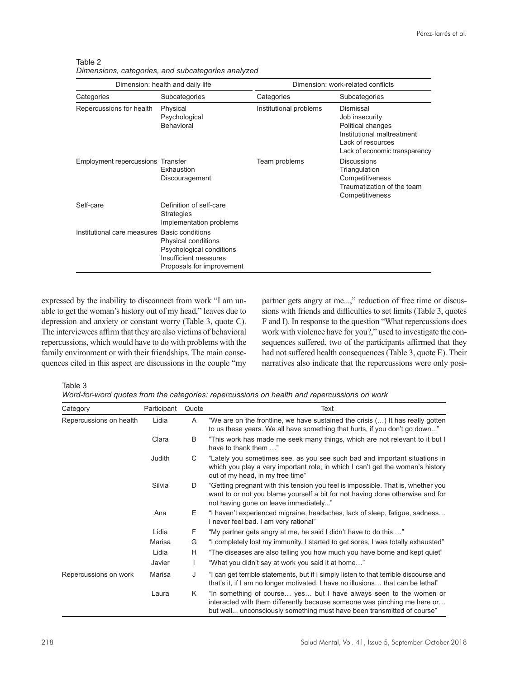| Dimension: health and daily life             |                                                                                                       | Dimension: work-related conflicts |                                                                                                                                      |  |
|----------------------------------------------|-------------------------------------------------------------------------------------------------------|-----------------------------------|--------------------------------------------------------------------------------------------------------------------------------------|--|
| Categories                                   | Subcategories                                                                                         | Categories                        | Subcategories                                                                                                                        |  |
| Repercussions for health                     | Physical<br>Psychological<br>Behavioral                                                               | Institutional problems            | Dismissal<br>Job insecurity<br>Political changes<br>Institutional maltreatment<br>Lack of resources<br>Lack of economic transparency |  |
| <b>Employment repercussions Transfer</b>     | Exhaustion<br>Discouragement                                                                          | Team problems                     | <b>Discussions</b><br>Triangulation<br>Competitiveness<br>Traumatization of the team<br>Competitiveness                              |  |
| Self-care                                    | Definition of self-care<br><b>Strategies</b><br>Implementation problems                               |                                   |                                                                                                                                      |  |
| Institutional care measures Basic conditions | Physical conditions<br>Psychological conditions<br>Insufficient measures<br>Proposals for improvement |                                   |                                                                                                                                      |  |

Table 2 *Dimensions, categories, and subcategories analyzed*

expressed by the inability to disconnect from work "I am unable to get the woman's history out of my head," leaves due to depression and anxiety or constant worry (Table 3, quote C). The interviewees affirm that they are also victims of behavioral repercussions, which would have to do with problems with the family environment or with their friendships. The main consequences cited in this aspect are discussions in the couple "my partner gets angry at me...," reduction of free time or discussions with friends and difficulties to set limits (Table 3, quotes F and I). In response to the question "What repercussions does work with violence have for you?," used to investigate the consequences suffered, two of the participants affirmed that they had not suffered health consequences (Table 3, quote E). Their narratives also indicate that the repercussions were only posi-

Table 3

*Word-for-word quotes from the categories: repercussions on health and repercussions on work*

| Category                | Participant | Quote | Text                                                                                                                                                                                                                     |
|-------------------------|-------------|-------|--------------------------------------------------------------------------------------------------------------------------------------------------------------------------------------------------------------------------|
| Repercussions on health | Lidia       | A     | "We are on the frontline, we have sustained the crisis $(\ldots)$ It has really gotten<br>to us these years. We all have something that hurts, if you don't go down"                                                     |
|                         | Clara       | B     | "This work has made me seek many things, which are not relevant to it but I<br>have to thank them "                                                                                                                      |
|                         | Judith      | C     | "Lately you sometimes see, as you see such bad and important situations in<br>which you play a very important role, in which I can't get the woman's history<br>out of my head, in my free time"                         |
|                         | Silvia      | D     | "Getting pregnant with this tension you feel is impossible. That is, whether you<br>want to or not you blame yourself a bit for not having done otherwise and for<br>not having gone on leave immediately"               |
|                         | Ana         | E     | "I haven't experienced migraine, headaches, lack of sleep, fatigue, sadness<br>I never feel bad. I am very rational"                                                                                                     |
|                         | Lidia       | F     | "My partner gets angry at me, he said I didn't have to do this "                                                                                                                                                         |
|                         | Marisa      | G     | "I completely lost my immunity, I started to get sores, I was totally exhausted"                                                                                                                                         |
|                         | Lidia       | н     | "The diseases are also telling you how much you have borne and kept quiet"                                                                                                                                               |
|                         | Javier      |       | "What you didn't say at work you said it at home"                                                                                                                                                                        |
| Repercussions on work   | Marisa      | J     | "I can get terrible statements, but if I simply listen to that terrible discourse and<br>that's it, if I am no longer motivated, I have no illusions that can be lethal"                                                 |
|                         | Laura       | K     | "In something of course yes but I have always seen to the women or<br>interacted with them differently because someone was pinching me here or<br>but well unconsciously something must have been transmitted of course" |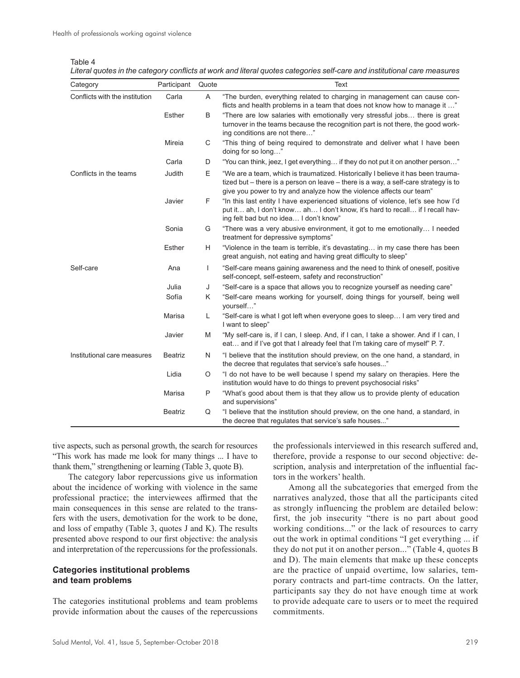|  | ar | 11 | r. |  |
|--|----|----|----|--|
|  |    |    |    |  |

|  |  |  | Literal quotes in the category conflicts at work and literal quotes categories self-care and institutional care measures |
|--|--|--|--------------------------------------------------------------------------------------------------------------------------|
|--|--|--|--------------------------------------------------------------------------------------------------------------------------|

| Category                       | Participant    | Quote | Text                                                                                                                                                                                                                                            |
|--------------------------------|----------------|-------|-------------------------------------------------------------------------------------------------------------------------------------------------------------------------------------------------------------------------------------------------|
| Conflicts with the institution | Carla          | Α     | "The burden, everything related to charging in management can cause con-<br>flicts and health problems in a team that does not know how to manage it "                                                                                          |
|                                | <b>Esther</b>  | B     | "There are low salaries with emotionally very stressful jobs there is great<br>turnover in the teams because the recognition part is not there, the good work-<br>ing conditions are not there"                                                 |
|                                | Mireia         | C     | "This thing of being required to demonstrate and deliver what I have been<br>doing for so long"                                                                                                                                                 |
|                                | Carla          | D     | "You can think, jeez, I get everything if they do not put it on another person"                                                                                                                                                                 |
| Conflicts in the teams         | Judith         | Е     | "We are a team, which is traumatized. Historically I believe it has been trauma-<br>tized but – there is a person on leave – there is a way, a self-care strategy is to<br>give you power to try and analyze how the violence affects our team" |
|                                | Javier         | F     | "In this last entity I have experienced situations of violence, let's see how I'd<br>put it ah, I don't know ah I don't know, it's hard to recall if I recall hav-<br>ing felt bad but no idea I don't know"                                    |
|                                | Sonia          | G     | "There was a very abusive environment, it got to me emotionally I needed<br>treatment for depressive symptoms"                                                                                                                                  |
|                                | <b>Esther</b>  | H     | "Violence in the team is terrible, it's devastating in my case there has been<br>great anguish, not eating and having great difficulty to sleep"                                                                                                |
| Self-care                      | Ana            | I     | "Self-care means gaining awareness and the need to think of oneself, positive<br>self-concept, self-esteem, safety and reconstruction"                                                                                                          |
|                                | Julia          | J     | "Self-care is a space that allows you to recognize yourself as needing care"                                                                                                                                                                    |
|                                | Sofía          | K     | "Self-care means working for yourself, doing things for yourself, being well<br>vourself"                                                                                                                                                       |
|                                | Marisa         | L     | "Self-care is what I got left when everyone goes to sleep I am very tired and<br>I want to sleep"                                                                                                                                               |
|                                | Javier         | M     | "My self-care is, if I can, I sleep. And, if I can, I take a shower. And if I can, I<br>eat and if I've got that I already feel that I'm taking care of myself" P. 7.                                                                           |
| Institutional care measures    | <b>Beatriz</b> | N     | "I believe that the institution should preview, on the one hand, a standard, in<br>the decree that regulates that service's safe houses"                                                                                                        |
|                                | Lidia          | O     | "I do not have to be well because I spend my salary on therapies. Here the<br>institution would have to do things to prevent psychosocial risks"                                                                                                |
|                                | Marisa         | P     | "What's good about them is that they allow us to provide plenty of education<br>and supervisions"                                                                                                                                               |
|                                | <b>Beatriz</b> | Q     | "I believe that the institution should preview, on the one hand, a standard, in<br>the decree that regulates that service's safe houses"                                                                                                        |

tive aspects, such as personal growth, the search for resources "This work has made me look for many things ... I have to thank them," strengthening or learning (Table 3, quote B).

The category labor repercussions give us information about the incidence of working with violence in the same professional practice; the interviewees affirmed that the main consequences in this sense are related to the transfers with the users, demotivation for the work to be done, and loss of empathy (Table 3, quotes J and K). The results presented above respond to our first objective: the analysis and interpretation of the repercussions for the professionals.

## **Categories institutional problems and team problems**

The categories institutional problems and team problems provide information about the causes of the repercussions the professionals interviewed in this research suffered and, therefore, provide a response to our second objective: description, analysis and interpretation of the influential factors in the workers' health.

Among all the subcategories that emerged from the narratives analyzed, those that all the participants cited as strongly influencing the problem are detailed below: first, the job insecurity "there is no part about good working conditions..." or the lack of resources to carry out the work in optimal conditions "I get everything ... if they do not put it on another person..." (Table 4, quotes B and D). The main elements that make up these concepts are the practice of unpaid overtime, low salaries, temporary contracts and part-time contracts. On the latter, participants say they do not have enough time at work to provide adequate care to users or to meet the required commitments.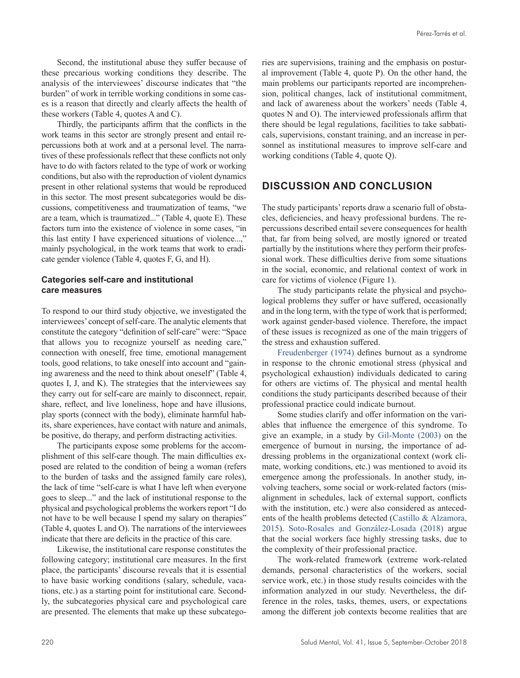Second, the institutional abuse they suffer because of these precarious working conditions they describe. The analysis of the interviewees' discourse indicates that "the burden" of work in terrible working conditions in some cases is a reason that directly and clearly affects the health of these workers (Table 4, quotes A and C).

Thirdly, the participants affirm that the conflicts in the work teams in this sector are strongly present and entail repercussions both at work and at a personal level. The narratives of these professionals reflect that these conflicts not only have to do with factors related to the type of work or working conditions, but also with the reproduction of violent dynamics present in other relational systems that would be reproduced in this sector. The most present subcategories would be discussions, competitiveness and traumatization of teams, "we are a team, which is traumatized..." (Table 4, quote E). These factors turn into the existence of violence in some cases, "in this last entity I have experienced situations of violence...," mainly psychological, in the work teams that work to eradicate gender violence (Table 4, quotes F, G, and H).

## **Categories self-care and institutional care measures**

To respond to our third study objective, we investigated the interviewees' concept of self-care. The analytic elements that constitute the category "definition of self-care" were: "Space that allows you to recognize yourself as needing care," connection with oneself, free time, emotional management tools, good relations, to take oneself into account and "gaining awareness and the need to think about oneself" (Table 4, quotes I, J, and K). The strategies that the interviewees say they carry out for self-care are mainly to disconnect, repair, share, reflect, and live loneliness, hope and have illusions, play sports (connect with the body), eliminate harmful habits, share experiences, have contact with nature and animals, be positive, do therapy, and perform distracting activities.

The participants expose some problems for the accomplishment of this self-care though. The main difficulties exposed are related to the condition of being a woman (refers to the burden of tasks and the assigned family care roles), the lack of time "self-care is what I have left when everyone goes to sleep..." and the lack of institutional response to the physical and psychological problems the workers report "I do not have to be well because I spend my salary on therapies" (Table 4, quotes L and O). The narrations of the interviewees indicate that there are deficits in the practice of this care.

Likewise, the institutional care response constitutes the following category; institutional care measures. In the first place, the participants' discourse reveals that it is essential to have basic working conditions (salary, schedule, vacations, etc.) as a starting point for institutional care. Secondly, the subcategories physical care and psychological care are presented. The elements that make up these subcategories are supervisions, training and the emphasis on postural improvement (Table 4, quote P). On the other hand, the main problems our participants reported are incomprehension, political changes, lack of institutional commitment, and lack of awareness about the workers' needs (Table 4, quotes N and O). The interviewed professionals affirm that there should be legal regulations, facilities to take sabbaticals, supervisions, constant training, and an increase in personnel as institutional measures to improve self-care and working conditions (Table 4, quote Q).

# **DISCUSSION AND CONCLUSION**

The study participants' reports draw a scenario full of obstacles, deficiencies, and heavy professional burdens. The repercussions described entail severe consequences for health that, far from being solved, are mostly ignored or treated partially by the institutions where they perform their professional work. These difficulties derive from some situations in the social, economic, and relational context of work in care for victims of violence (Figure 1).

The study participants relate the physical and psychological problems they suffer or have suffered, occasionally and in the long term, with the type of work that is performed; work against gender-based violence. Therefore, the impact of these issues is recognized as one of the main triggers of the stress and exhaustion suffered.

[Freudenberger \(1974\)](#page-9-21) defines burnout as a syndrome in response to the chronic emotional stress (physical and psychological exhaustion) individuals dedicated to caring for others are victims of. The physical and mental health conditions the study participants described because of their professional practice could indicate burnout.

Some studies clarify and offer information on the variables that influence the emergence of this syndrome. To give an example, in a study by [Gil-Monte \(2003\)](#page-9-22) on the emergence of burnout in nursing, the importance of addressing problems in the organizational context (work climate, working conditions, etc.) was mentioned to avoid its emergence among the professionals. In another study, involving teachers, some social or work-related factors (misalignment in schedules, lack of external support, conflicts with the institution, etc.) were also considered as antecedents of the health problems detected [\(Castillo & Alzamora,](#page-9-23) [2015](#page-9-23)). [Soto-Rosales and González-Losada \(2018\)](#page-9-24) argue that the social workers face highly stressing tasks, due to the complexity of their professional practice.

The work-related framework (extreme work-related demands, personal characteristics of the workers, social service work, etc.) in those study results coincides with the information analyzed in our study. Nevertheless, the difference in the roles, tasks, themes, users, or expectations among the different job contexts become realities that are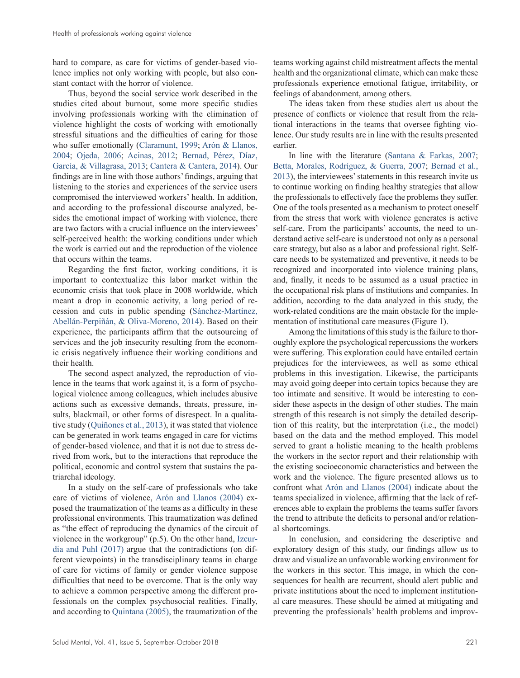hard to compare, as care for victims of gender-based violence implies not only working with people, but also constant contact with the horror of violence.

Thus, beyond the social service work described in the studies cited about burnout, some more specific studies involving professionals working with the elimination of violence highlight the costs of working with emotionally stressful situations and the difficulties of caring for those who suffer emotionally ([Claramunt, 1999;](#page-9-25) [Arón & Llanos,](#page-9-1)  [2004;](#page-9-1) [Ojeda, 2006](#page-9-2); [Acinas, 2012;](#page-9-3) [Bernad, Pérez, Díaz,](#page-9-26)  [García, & Villagrasa, 2013](#page-9-26); [Cantera & Cantera, 2014](#page-9-9)). Our findings are in line with those authors' findings, arguing that listening to the stories and experiences of the service users compromised the interviewed workers' health. In addition, and according to the professional discourse analyzed, besides the emotional impact of working with violence, there are two factors with a crucial influence on the interviewees' self-perceived health: the working conditions under which the work is carried out and the reproduction of the violence that occurs within the teams.

Regarding the first factor, working conditions, it is important to contextualize this labor market within the economic crisis that took place in 2008 worldwide, which meant a drop in economic activity, a long period of recession and cuts in public spending ([Sánchez-Martínez,](#page-9-27)  [Abellán-Perpiñán, & Oliva-Moreno, 2014](#page-9-27)). Based on their experience, the participants affirm that the outsourcing of services and the job insecurity resulting from the economic crisis negatively influence their working conditions and their health.

The second aspect analyzed, the reproduction of violence in the teams that work against it, is a form of psychological violence among colleagues, which includes abusive actions such as excessive demands, threats, pressure, insults, blackmail, or other forms of disrespect. In a qualitative study ([Quiñones et al., 2013](#page-9-6)), it was stated that violence can be generated in work teams engaged in care for victims of gender-based violence, and that it is not due to stress derived from work, but to the interactions that reproduce the political, economic and control system that sustains the patriarchal ideology.

In a study on the self-care of professionals who take care of victims of violence, [Arón and Llanos \(2004\)](#page-9-1) exposed the traumatization of the teams as a difficulty in these professional environments. This traumatization was defined as "the effect of reproducing the dynamics of the circuit of violence in the workgroup" (p.5). On the other hand, [Izcur](#page-9-4)[dia and Puhl \(2017\)](#page-9-4) argue that the contradictions (on different viewpoints) in the transdisciplinary teams in charge of care for victims of family or gender violence suppose difficulties that need to be overcome. That is the only way to achieve a common perspective among the different professionals on the complex psychosocial realities. Finally, and according to [Quintana \(2005\)](#page-9-28), the traumatization of the

teams working against child mistreatment affects the mental health and the organizational climate, which can make these professionals experience emotional fatigue, irritability, or feelings of abandonment, among others.

The ideas taken from these studies alert us about the presence of conflicts or violence that result from the relational interactions in the teams that oversee fighting violence. Our study results are in line with the results presented earlier.

In line with the literature ([Santana & Farkas, 2007](#page-9-7); [Betta, Morales, Rodríguez, & Guerra, 2007](#page-9-29); [Bernad et al.,](#page-9-26)  [2013\)](#page-9-26), the interviewees' statements in this research invite us to continue working on finding healthy strategies that allow the professionals to effectively face the problems they suffer. One of the tools presented as a mechanism to protect oneself from the stress that work with violence generates is active self-care. From the participants' accounts, the need to understand active self-care is understood not only as a personal care strategy, but also as a labor and professional right. Selfcare needs to be systematized and preventive, it needs to be recognized and incorporated into violence training plans, and, finally, it needs to be assumed as a usual practice in the occupational risk plans of institutions and companies. In addition, according to the data analyzed in this study, the work-related conditions are the main obstacle for the implementation of institutional care measures (Figure 1).

Among the limitations of this study is the failure to thoroughly explore the psychological repercussions the workers were suffering. This exploration could have entailed certain prejudices for the interviewees, as well as some ethical problems in this investigation. Likewise, the participants may avoid going deeper into certain topics because they are too intimate and sensitive. It would be interesting to consider these aspects in the design of other studies. The main strength of this research is not simply the detailed description of this reality, but the interpretation (i.e., the model) based on the data and the method employed. This model served to grant a holistic meaning to the health problems the workers in the sector report and their relationship with the existing socioeconomic characteristics and between the work and the violence. The figure presented allows us to confront what [Arón and Llanos \(2004\)](#page-9-1) indicate about the teams specialized in violence, affirming that the lack of references able to explain the problems the teams suffer favors the trend to attribute the deficits to personal and/or relational shortcomings.

In conclusion, and considering the descriptive and exploratory design of this study, our findings allow us to draw and visualize an unfavorable working environment for the workers in this sector. This image, in which the consequences for health are recurrent, should alert public and private institutions about the need to implement institutional care measures. These should be aimed at mitigating and preventing the professionals' health problems and improv